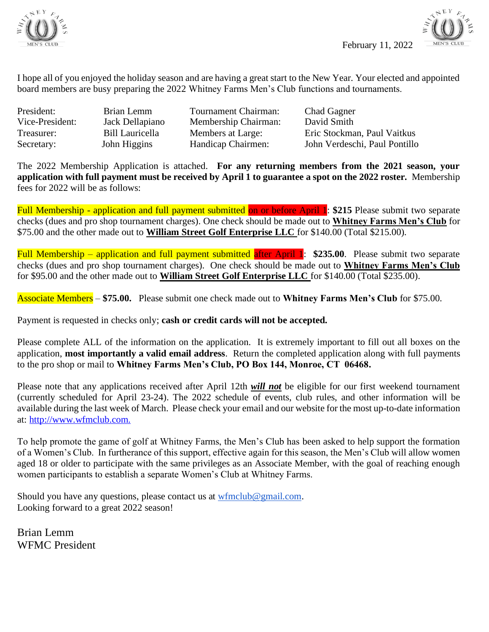



I hope all of you enjoyed the holiday season and are having a great start to the New Year. Your elected and appointed board members are busy preparing the 2022 Whitney Farms Men's Club functions and tournaments.

President: Brian Lemm Tournament Chairman: Chad Gagner Vice-President: Jack Dellapiano Membership Chairman: David Smith

Treasurer: Bill Lauricella Members at Large: Eric Stockman, Paul Vaitkus Secretary: John Higgins Handicap Chairmen: John Verdeschi, Paul Pontillo

The 2022 Membership Application is attached. **For any returning members from the 2021 season, your application with full payment must be received by April 1 to guarantee a spot on the 2022 roster.** Membership fees for 2022 will be as follows:

Full Membership - application and full payment submitted on or before April 1: \$215 Please submit two separate checks (dues and pro shop tournament charges). One check should be made out to **Whitney Farms Men's Club** for \$75.00 and the other made out to **William Street Golf Enterprise LLC** for \$140.00 (Total \$215.00).

Full Membership – application and full payment submitted after April 1: **\$235.00**. Please submit two separate checks (dues and pro shop tournament charges). One check should be made out to **Whitney Farms Men's Club** for \$95.00 and the other made out to **William Street Golf Enterprise LLC** for \$140.00 (Total \$235.00).

Associate Members – **\$75.00.** Please submit one check made out to **Whitney Farms Men's Club** for \$75.00.

Payment is requested in checks only; **cash or credit cards will not be accepted.** 

Please complete ALL of the information on the application. It is extremely important to fill out all boxes on the application, **most importantly a valid email address**. Return the completed application along with full payments to the pro shop or mail to **Whitney Farms Men's Club, PO Box 144, Monroe, CT 06468.**

Please note that any applications received after April 12th *will not* be eligible for our first weekend tournament (currently scheduled for April 23-24). The 2022 schedule of events, club rules, and other information will be available during the last week of March. Please check your email and our website for the most up-to-date information at: [http://www.wfmclub.com.](http://www.wfmclub.com/)

To help promote the game of golf at Whitney Farms, the Men's Club has been asked to help support the formation of a Women's Club. In furtherance of this support, effective again for this season, the Men's Club will allow women aged 18 or older to participate with the same privileges as an Associate Member, with the goal of reaching enough women participants to establish a separate Women's Club at Whitney Farms.

Should you have any questions, please contact us at [wfmclub@gmail.com.](mailto:wfmclub@gmail.com) Looking forward to a great 2022 season!

Brian Lemm WFMC President